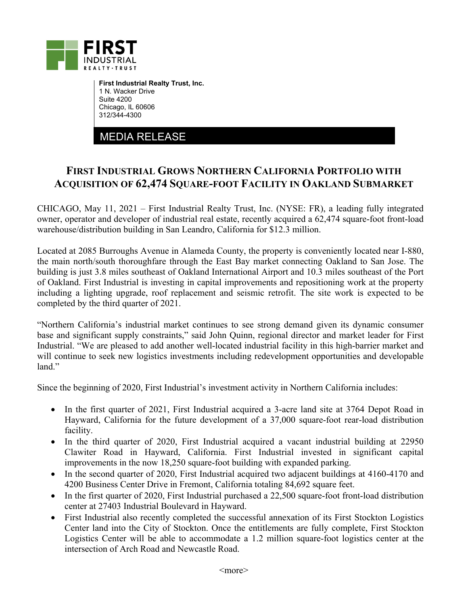

**First Industrial Realty Trust, Inc.**  1 N. Wacker Drive Suite 4200 Chicago, IL 60606 312/344-4300

MEDIA RELEASE

## **FIRST INDUSTRIAL GROWS NORTHERN CALIFORNIA PORTFOLIO WITH ACQUISITION OF 62,474 SQUARE-FOOT FACILITY IN OAKLAND SUBMARKET**

CHICAGO, May 11, 2021 – First Industrial Realty Trust, Inc. (NYSE: FR), a leading fully integrated owner, operator and developer of industrial real estate, recently acquired a 62,474 square-foot front-load warehouse/distribution building in San Leandro, California for \$12.3 million.

Located at 2085 Burroughs Avenue in Alameda County, the property is conveniently located near I-880, the main north/south thoroughfare through the East Bay market connecting Oakland to San Jose. The building is just 3.8 miles southeast of Oakland International Airport and 10.3 miles southeast of the Port of Oakland. First Industrial is investing in capital improvements and repositioning work at the property including a lighting upgrade, roof replacement and seismic retrofit. The site work is expected to be completed by the third quarter of 2021.

"Northern California's industrial market continues to see strong demand given its dynamic consumer base and significant supply constraints," said John Quinn, regional director and market leader for First Industrial. "We are pleased to add another well-located industrial facility in this high-barrier market and will continue to seek new logistics investments including redevelopment opportunities and developable land."

Since the beginning of 2020, First Industrial's investment activity in Northern California includes:

- In the first quarter of 2021, First Industrial acquired a 3-acre land site at 3764 Depot Road in Hayward, California for the future development of a 37,000 square-foot rear-load distribution facility.
- In the third quarter of 2020, First Industrial acquired a vacant industrial building at 22950 Clawiter Road in Hayward, California. First Industrial invested in significant capital improvements in the now 18,250 square-foot building with expanded parking.
- In the second quarter of 2020, First Industrial acquired two adjacent buildings at 4160-4170 and 4200 Business Center Drive in Fremont, California totaling 84,692 square feet.
- In the first quarter of 2020, First Industrial purchased a 22,500 square-foot front-load distribution center at 27403 Industrial Boulevard in Hayward.
- First Industrial also recently completed the successful annexation of its First Stockton Logistics Center land into the City of Stockton. Once the entitlements are fully complete, First Stockton Logistics Center will be able to accommodate a 1.2 million square-foot logistics center at the intersection of Arch Road and Newcastle Road.